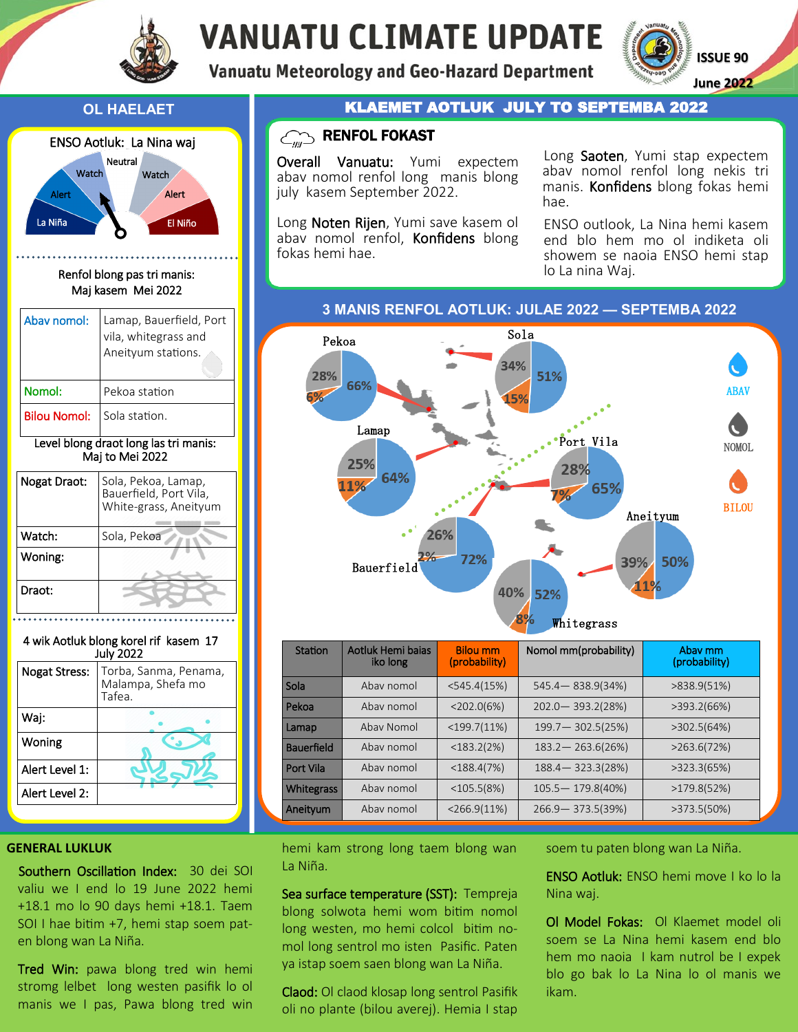

# **VANUATU CLIMATE UPDATE**

**Vanuatu Meteorology and Geo-Hazard Department** 

**ISSUE 90 June 2022**



Renfol blong pas tri manis: Maj kasem Mei 2022

| Abay nomol:                           | Lamap, Bauerfield, Port<br>vila, whitegrass and<br>Aneityum stations. |  |  |
|---------------------------------------|-----------------------------------------------------------------------|--|--|
| Nomol:                                | Pekoa station                                                         |  |  |
| <b>Bilou Nomol:</b>                   | Sola station.                                                         |  |  |
| Level blong draot long las tri manis: |                                                                       |  |  |

# Maj to Mei 2022

| Nogat Draot: | Sola, Pekoa, Lamap,<br>Bauerfield, Port Vila,<br>White-grass, Aneityum |  |  |
|--------------|------------------------------------------------------------------------|--|--|
| Watch:       | Sola, Pekoa                                                            |  |  |
| Woning:      |                                                                        |  |  |
| Draot:       |                                                                        |  |  |

4 wik Aotluk blong korel rif kasem 17



### **OL HAELAET ACTLUK JULY TO SEPTEMBA 2022**

# $C_{\text{min}}$  RENFOL FOKAST

Overall Vanuatu: Yumi expectem abav nomol renfol long manis blong july kasem September 2022.

Long **Noten Rijen**, Yumi save kasem ol abav nomol renfol, Konfidens blong fokas hemi hae.

Long Saoten, Yumi stap expectem abav nomol renfol long nekis tri manis. Konfidens blong fokas hemi hae.

ENSO outlook, La Nina hemi kasem end blo hem mo ol indiketa oli showem se naoia ENSO hemi stap lo La nina Waj.

**3 MANIS RENFOL AOTLUK: JULAE 2022 — SEPTEMBA 2022**



| Station           | Aotluk Hemi bajas<br>iko long | <b>Bilou mm</b><br>(probability) | Nomol mm(probability) | Abay mm<br>(probability) |
|-------------------|-------------------------------|----------------------------------|-----------------------|--------------------------|
| Sola              | Ahay nomol                    | $<$ 545.4(15%)                   | $545.4 - 838.9(34%)$  | >838.9(51%)              |
| Pekoa             | Ahay nomol                    | $<$ 202.0(6%)                    | $202.0 - 393.2(28%)$  | >393.2(66%)              |
| Lamap             | Abay Nomol                    | $<$ 199.7(11%)                   | $199.7 - 302.5(25%)$  | >302.5(64%)              |
| <b>Bauerfield</b> | Ahay nomol                    | $<$ 183.2(2%)                    | $183.2 - 263.6(26%)$  | >263.6(72%)              |
| Port Vila         | Abay nomol                    | $<$ 188.4(7%)                    | $188.4 - 323.3(28%)$  | >323.3(65%)              |
| <b>Whitegrass</b> | Abay nomol                    | $<$ 105.5(8%)                    | $105.5 - 179.8(40%)$  | >179.8(52%)              |
| Aneityum          | Abay nomol                    | $<$ 266.9(11%)                   | $266.9 - 373.5(39%)$  | >373.5(50%)              |

#### **GENERAL LUKLUK**

Southern Oscillation Index: 30 dei SOI valiu we I end lo 19 June 2022 hemi +18.1 mo lo 90 days hemi +18.1. Taem SOI I hae bitim +7, hemi stap soem paten blong wan La Niña.

Tred Win: pawa blong tred win hemi stromg lelbet long westen pasifik lo ol manis we I pas, Pawa blong tred win hemi kam strong long taem blong wan La Niña.

Sea surface temperature (SST): Tempreja blong solwota hemi wom bitim nomol long westen, mo hemi colcol bitim nomol long sentrol mo isten Pasific. Paten ya istap soem saen blong wan La Niña.

Claod: Ol claod klosap long sentrol Pasifik oli no plante (bilou averej). Hemia I stap

soem tu paten blong wan La Niña.

ENSO Aotluk: ENSO hemi move I ko lo la Nina waj.

Ol Model Fokas: Ol Klaemet model oli soem se La Nina hemi kasem end blo hem mo naoia I kam nutrol be I expek blo go bak lo La Nina lo ol manis we ikam.